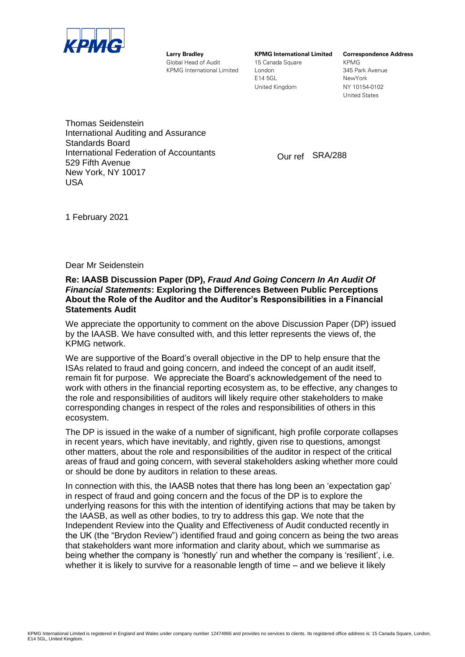

**Larry Bradley KPMG International Limited Correspondence Address** Global Head of Audit 15 Canada Square KPMG KPMG International Limited London 1997 Condon 1945 Park Avenue

E14 5GL NewYork United Kingdom NY 10154-0102

United States

Thomas Seidenstein International Auditing and Assurance Standards Board International Federation of Accountants 529 Fifth Avenue New York, NY 10017 USA

Our ref SRA/288

1 February 2021

Dear Mr Seidenstein

#### **Re: IAASB Discussion Paper (DP),** *Fraud And Going Concern In An Audit Of Financial Statements***: Exploring the Differences Between Public Perceptions About the Role of the Auditor and the Auditor's Responsibilities in a Financial Statements Audit**

We appreciate the opportunity to comment on the above Discussion Paper (DP) issued by the IAASB. We have consulted with, and this letter represents the views of, the KPMG network.

We are supportive of the Board's overall objective in the DP to help ensure that the ISAs related to fraud and going concern, and indeed the concept of an audit itself, remain fit for purpose. We appreciate the Board's acknowledgement of the need to work with others in the financial reporting ecosystem as, to be effective, any changes to the role and responsibilities of auditors will likely require other stakeholders to make corresponding changes in respect of the roles and responsibilities of others in this ecosystem.

The DP is issued in the wake of a number of significant, high profile corporate collapses in recent years, which have inevitably, and rightly, given rise to questions, amongst other matters, about the role and responsibilities of the auditor in respect of the critical areas of fraud and going concern, with several stakeholders asking whether more could or should be done by auditors in relation to these areas.

In connection with this, the IAASB notes that there has long been an 'expectation gap' in respect of fraud and going concern and the focus of the DP is to explore the underlying reasons for this with the intention of identifying actions that may be taken by the IAASB, as well as other bodies, to try to address this gap. We note that the Independent Review into the Quality and Effectiveness of Audit conducted recently in the UK (the "Brydon Review") identified fraud and going concern as being the two areas that stakeholders want more information and clarity about, which we summarise as being whether the company is 'honestly' run and whether the company is 'resilient', i.e. whether it is likely to survive for a reasonable length of time – and we believe it likely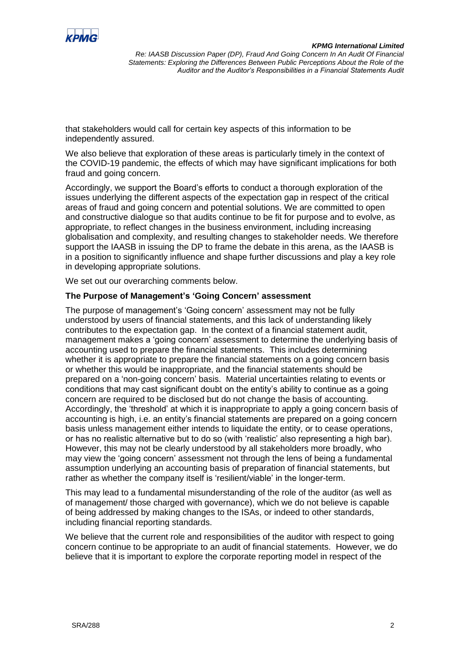

that stakeholders would call for certain key aspects of this information to be independently assured.

We also believe that exploration of these areas is particularly timely in the context of the COVID-19 pandemic, the effects of which may have significant implications for both fraud and going concern.

Accordingly, we support the Board's efforts to conduct a thorough exploration of the issues underlying the different aspects of the expectation gap in respect of the critical areas of fraud and going concern and potential solutions. We are committed to open and constructive dialogue so that audits continue to be fit for purpose and to evolve, as appropriate, to reflect changes in the business environment, including increasing globalisation and complexity, and resulting changes to stakeholder needs. We therefore support the IAASB in issuing the DP to frame the debate in this arena, as the IAASB is in a position to significantly influence and shape further discussions and play a key role in developing appropriate solutions.

We set out our overarching comments below.

## **The Purpose of Management's 'Going Concern' assessment**

The purpose of management's 'Going concern' assessment may not be fully understood by users of financial statements, and this lack of understanding likely contributes to the expectation gap. In the context of a financial statement audit, management makes a 'going concern' assessment to determine the underlying basis of accounting used to prepare the financial statements. This includes determining whether it is appropriate to prepare the financial statements on a going concern basis or whether this would be inappropriate, and the financial statements should be prepared on a 'non-going concern' basis. Material uncertainties relating to events or conditions that may cast significant doubt on the entity's ability to continue as a going concern are required to be disclosed but do not change the basis of accounting. Accordingly, the 'threshold' at which it is inappropriate to apply a going concern basis of accounting is high, i.e. an entity's financial statements are prepared on a going concern basis unless management either intends to liquidate the entity, or to cease operations, or has no realistic alternative but to do so (with 'realistic' also representing a high bar). However, this may not be clearly understood by all stakeholders more broadly, who may view the 'going concern' assessment not through the lens of being a fundamental assumption underlying an accounting basis of preparation of financial statements, but rather as whether the company itself is 'resilient/viable' in the longer-term.

This may lead to a fundamental misunderstanding of the role of the auditor (as well as of management/ those charged with governance), which we do not believe is capable of being addressed by making changes to the ISAs, or indeed to other standards, including financial reporting standards.

We believe that the current role and responsibilities of the auditor with respect to going concern continue to be appropriate to an audit of financial statements. However, we do believe that it is important to explore the corporate reporting model in respect of the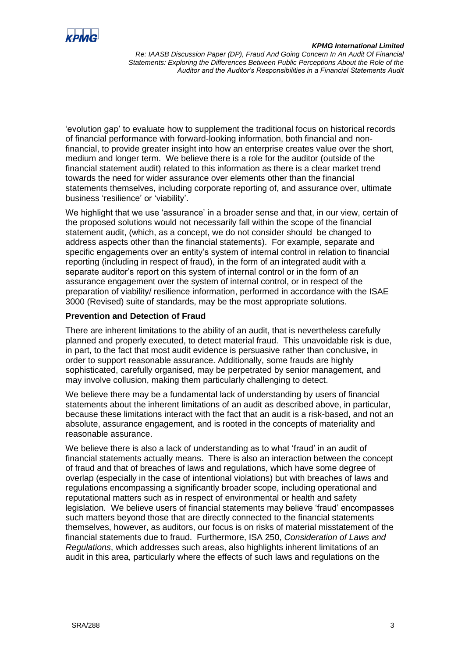

'evolution gap' to evaluate how to supplement the traditional focus on historical records of financial performance with forward-looking information, both financial and nonfinancial, to provide greater insight into how an enterprise creates value over the short, medium and longer term. We believe there is a role for the auditor (outside of the financial statement audit) related to this information as there is a clear market trend towards the need for wider assurance over elements other than the financial statements themselves, including corporate reporting of, and assurance over, ultimate business 'resilience' or 'viability'.

We highlight that we use 'assurance' in a broader sense and that, in our view, certain of the proposed solutions would not necessarily fall within the scope of the financial statement audit, (which, as a concept, we do not consider should be changed to address aspects other than the financial statements). For example, separate and specific engagements over an entity's system of internal control in relation to financial reporting (including in respect of fraud), in the form of an integrated audit with a separate auditor's report on this system of internal control or in the form of an assurance engagement over the system of internal control, or in respect of the preparation of viability/ resilience information, performed in accordance with the ISAE 3000 (Revised) suite of standards, may be the most appropriate solutions.

# **Prevention and Detection of Fraud**

There are inherent limitations to the ability of an audit, that is nevertheless carefully planned and properly executed, to detect material fraud. This unavoidable risk is due, in part, to the fact that most audit evidence is persuasive rather than conclusive, in order to support reasonable assurance. Additionally, some frauds are highly sophisticated, carefully organised, may be perpetrated by senior management, and may involve collusion, making them particularly challenging to detect.

We believe there may be a fundamental lack of understanding by users of financial statements about the inherent limitations of an audit as described above, in particular, because these limitations interact with the fact that an audit is a risk-based, and not an absolute, assurance engagement, and is rooted in the concepts of materiality and reasonable assurance.

We believe there is also a lack of understanding as to what 'fraud' in an audit of financial statements actually means. There is also an interaction between the concept of fraud and that of breaches of laws and regulations, which have some degree of overlap (especially in the case of intentional violations) but with breaches of laws and regulations encompassing a significantly broader scope, including operational and reputational matters such as in respect of environmental or health and safety legislation. We believe users of financial statements may believe 'fraud' encompasses such matters beyond those that are directly connected to the financial statements themselves, however, as auditors, our focus is on risks of material misstatement of the financial statements due to fraud. Furthermore, ISA 250, *Consideration of Laws and Regulations*, which addresses such areas, also highlights inherent limitations of an audit in this area, particularly where the effects of such laws and regulations on the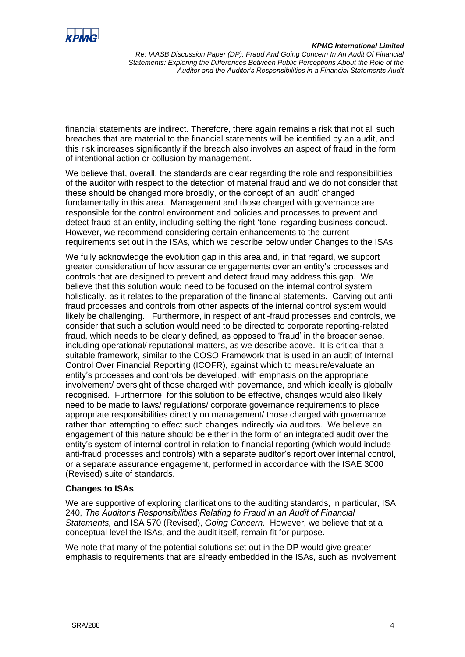

financial statements are indirect. Therefore, there again remains a risk that not all such breaches that are material to the financial statements will be identified by an audit, and this risk increases significantly if the breach also involves an aspect of fraud in the form of intentional action or collusion by management.

We believe that, overall, the standards are clear regarding the role and responsibilities of the auditor with respect to the detection of material fraud and we do not consider that these should be changed more broadly, or the concept of an 'audit' changed fundamentally in this area. Management and those charged with governance are responsible for the control environment and policies and processes to prevent and detect fraud at an entity, including setting the right 'tone' regarding business conduct. However, we recommend considering certain enhancements to the current requirements set out in the ISAs, which we describe below under Changes to the ISAs.

We fully acknowledge the evolution gap in this area and, in that regard, we support greater consideration of how assurance engagements over an entity's processes and controls that are designed to prevent and detect fraud may address this gap. We believe that this solution would need to be focused on the internal control system holistically, as it relates to the preparation of the financial statements. Carving out antifraud processes and controls from other aspects of the internal control system would likely be challenging. Furthermore, in respect of anti-fraud processes and controls, we consider that such a solution would need to be directed to corporate reporting-related fraud, which needs to be clearly defined, as opposed to 'fraud' in the broader sense, including operational/ reputational matters, as we describe above. It is critical that a suitable framework, similar to the COSO Framework that is used in an audit of Internal Control Over Financial Reporting (ICOFR), against which to measure/evaluate an entity's processes and controls be developed, with emphasis on the appropriate involvement/ oversight of those charged with governance, and which ideally is globally recognised. Furthermore, for this solution to be effective, changes would also likely need to be made to laws/ regulations/ corporate governance requirements to place appropriate responsibilities directly on management/ those charged with governance rather than attempting to effect such changes indirectly via auditors. We believe an engagement of this nature should be either in the form of an integrated audit over the entity's system of internal control in relation to financial reporting (which would include anti-fraud processes and controls) with a separate auditor's report over internal control, or a separate assurance engagement, performed in accordance with the ISAE 3000 (Revised) suite of standards.

# **Changes to ISAs**

We are supportive of exploring clarifications to the auditing standards, in particular, ISA 240, *The Auditor's Responsibilities Relating to Fraud in an Audit of Financial Statements,* and ISA 570 (Revised), *Going Concern.* However, we believe that at a conceptual level the ISAs, and the audit itself, remain fit for purpose.

We note that many of the potential solutions set out in the DP would give greater emphasis to requirements that are already embedded in the ISAs, such as involvement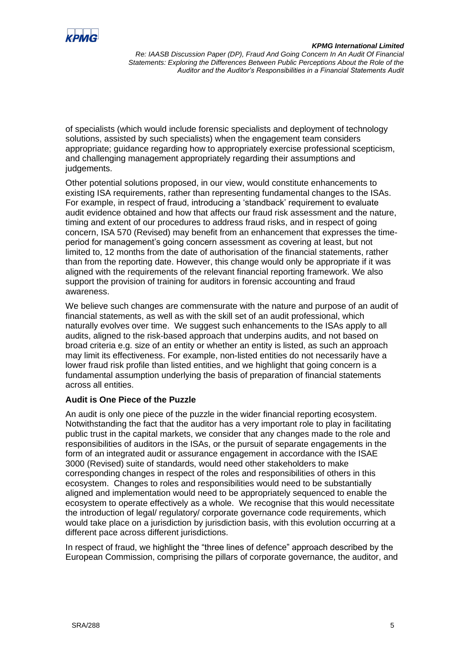

of specialists (which would include forensic specialists and deployment of technology solutions, assisted by such specialists) when the engagement team considers appropriate; guidance regarding how to appropriately exercise professional scepticism, and challenging management appropriately regarding their assumptions and judgements.

Other potential solutions proposed, in our view, would constitute enhancements to existing ISA requirements, rather than representing fundamental changes to the ISAs. For example, in respect of fraud, introducing a 'standback' requirement to evaluate audit evidence obtained and how that affects our fraud risk assessment and the nature, timing and extent of our procedures to address fraud risks, and in respect of going concern, ISA 570 (Revised) may benefit from an enhancement that expresses the timeperiod for management's going concern assessment as covering at least, but not limited to, 12 months from the date of authorisation of the financial statements, rather than from the reporting date. However, this change would only be appropriate if it was aligned with the requirements of the relevant financial reporting framework. We also support the provision of training for auditors in forensic accounting and fraud awareness.

We believe such changes are commensurate with the nature and purpose of an audit of financial statements, as well as with the skill set of an audit professional, which naturally evolves over time. We suggest such enhancements to the ISAs apply to all audits, aligned to the risk-based approach that underpins audits, and not based on broad criteria e.g. size of an entity or whether an entity is listed, as such an approach may limit its effectiveness. For example, non-listed entities do not necessarily have a lower fraud risk profile than listed entities, and we highlight that going concern is a fundamental assumption underlying the basis of preparation of financial statements across all entities.

# **Audit is One Piece of the Puzzle**

An audit is only one piece of the puzzle in the wider financial reporting ecosystem. Notwithstanding the fact that the auditor has a very important role to play in facilitating public trust in the capital markets, we consider that any changes made to the role and responsibilities of auditors in the ISAs, or the pursuit of separate engagements in the form of an integrated audit or assurance engagement in accordance with the ISAE 3000 (Revised) suite of standards, would need other stakeholders to make corresponding changes in respect of the roles and responsibilities of others in this ecosystem. Changes to roles and responsibilities would need to be substantially aligned and implementation would need to be appropriately sequenced to enable the ecosystem to operate effectively as a whole. We recognise that this would necessitate the introduction of legal/ regulatory/ corporate governance code requirements, which would take place on a jurisdiction by jurisdiction basis, with this evolution occurring at a different pace across different jurisdictions.

In respect of fraud, we highlight the "three lines of defence" approach described by the European Commission, comprising the pillars of corporate governance, the auditor, and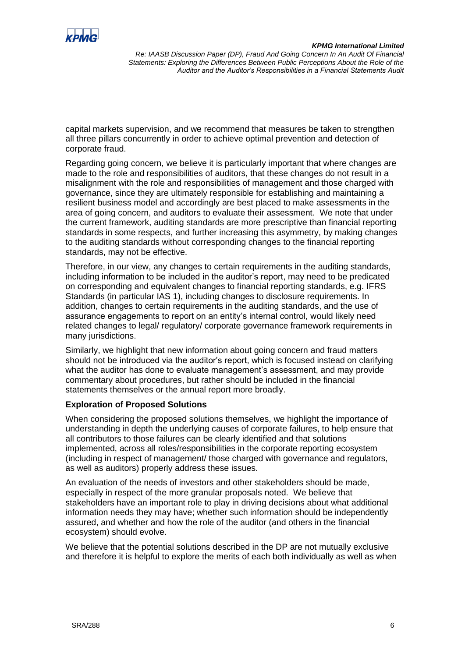

capital markets supervision, and we recommend that measures be taken to strengthen all three pillars concurrently in order to achieve optimal prevention and detection of corporate fraud.

Regarding going concern, we believe it is particularly important that where changes are made to the role and responsibilities of auditors, that these changes do not result in a misalignment with the role and responsibilities of management and those charged with governance, since they are ultimately responsible for establishing and maintaining a resilient business model and accordingly are best placed to make assessments in the area of going concern, and auditors to evaluate their assessment. We note that under the current framework, auditing standards are more prescriptive than financial reporting standards in some respects, and further increasing this asymmetry, by making changes to the auditing standards without corresponding changes to the financial reporting standards, may not be effective.

Therefore, in our view, any changes to certain requirements in the auditing standards, including information to be included in the auditor's report, may need to be predicated on corresponding and equivalent changes to financial reporting standards, e.g. IFRS Standards (in particular IAS 1), including changes to disclosure requirements. In addition, changes to certain requirements in the auditing standards, and the use of assurance engagements to report on an entity's internal control, would likely need related changes to legal/ regulatory/ corporate governance framework requirements in many jurisdictions.

Similarly, we highlight that new information about going concern and fraud matters should not be introduced via the auditor's report, which is focused instead on clarifying what the auditor has done to evaluate management's assessment, and may provide commentary about procedures, but rather should be included in the financial statements themselves or the annual report more broadly.

#### **Exploration of Proposed Solutions**

When considering the proposed solutions themselves, we highlight the importance of understanding in depth the underlying causes of corporate failures, to help ensure that all contributors to those failures can be clearly identified and that solutions implemented, across all roles/responsibilities in the corporate reporting ecosystem (including in respect of management/ those charged with governance and regulators, as well as auditors) properly address these issues.

An evaluation of the needs of investors and other stakeholders should be made, especially in respect of the more granular proposals noted. We believe that stakeholders have an important role to play in driving decisions about what additional information needs they may have; whether such information should be independently assured, and whether and how the role of the auditor (and others in the financial ecosystem) should evolve.

We believe that the potential solutions described in the DP are not mutually exclusive and therefore it is helpful to explore the merits of each both individually as well as when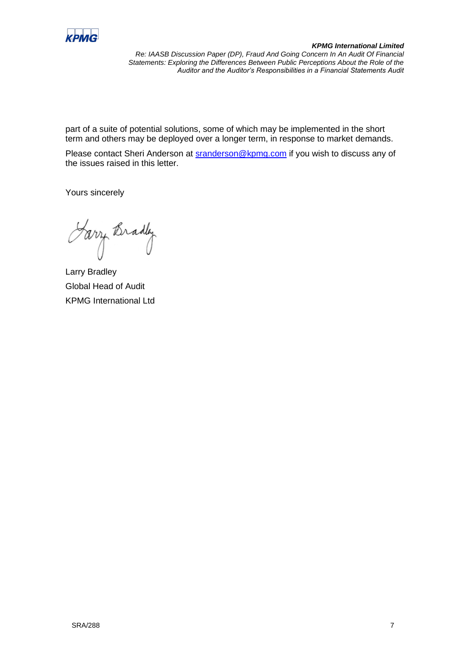

part of a suite of potential solutions, some of which may be implemented in the short term and others may be deployed over a longer term, in response to market demands.

Please contact Sheri Anderson at **sranderson@kpmg.com** if you wish to discuss any of the issues raised in this letter.

Yours sincerely

Farry Bradly

Larry Bradley Global Head of Audit KPMG International Ltd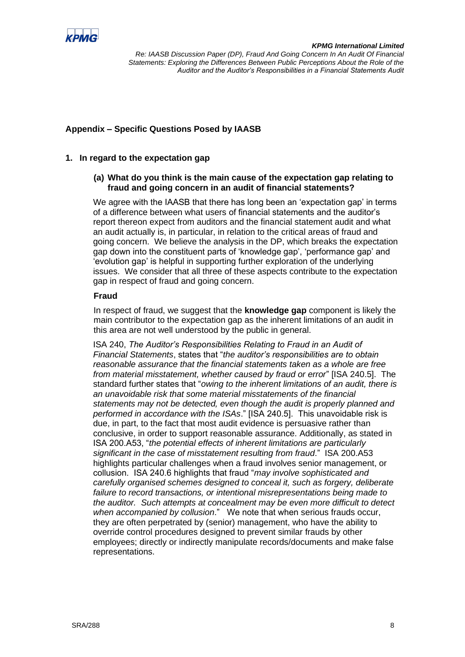

# **Appendix – Specific Questions Posed by IAASB**

## **1. In regard to the expectation gap**

## **(a) What do you think is the main cause of the expectation gap relating to fraud and going concern in an audit of financial statements?**

We agree with the IAASB that there has long been an 'expectation gap' in terms of a difference between what users of financial statements and the auditor's report thereon expect from auditors and the financial statement audit and what an audit actually is, in particular, in relation to the critical areas of fraud and going concern. We believe the analysis in the DP, which breaks the expectation gap down into the constituent parts of 'knowledge gap', 'performance gap' and 'evolution gap' is helpful in supporting further exploration of the underlying issues. We consider that all three of these aspects contribute to the expectation gap in respect of fraud and going concern.

#### **Fraud**

In respect of fraud, we suggest that the **knowledge gap** component is likely the main contributor to the expectation gap as the inherent limitations of an audit in this area are not well understood by the public in general.

ISA 240, *The Auditor's Responsibilities Relating to Fraud in an Audit of Financial Statements*, states that "*the auditor's responsibilities are to obtain reasonable assurance that the financial statements taken as a whole are free from material misstatement, whether caused by fraud or error*" [ISA 240.5]. The standard further states that "*owing to the inherent limitations of an audit, there is an unavoidable risk that some material misstatements of the financial statements may not be detected, even though the audit is properly planned and performed in accordance with the ISAs*." [ISA 240.5]. This unavoidable risk is due, in part, to the fact that most audit evidence is persuasive rather than conclusive, in order to support reasonable assurance. Additionally, as stated in ISA 200.A53, "*the potential effects of inherent limitations are particularly significant in the case of misstatement resulting from fraud*." ISA 200.A53 highlights particular challenges when a fraud involves senior management, or collusion. ISA 240.6 highlights that fraud "*may involve sophisticated and carefully organised schemes designed to conceal it, such as forgery, deliberate failure to record transactions, or intentional misrepresentations being made to the auditor. Such attempts at concealment may be even more difficult to detect when accompanied by collusion*." We note that when serious frauds occur, they are often perpetrated by (senior) management, who have the ability to override control procedures designed to prevent similar frauds by other employees; directly or indirectly manipulate records/documents and make false representations.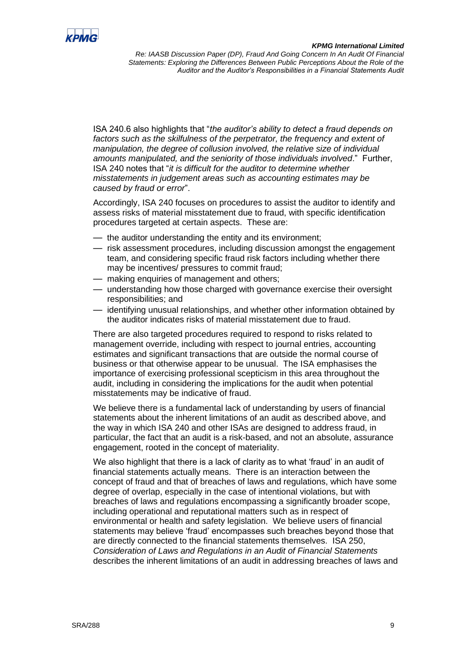

ISA 240.6 also highlights that "*the auditor's ability to detect a fraud depends on*  factors such as the skilfulness of the perpetrator, the frequency and extent of *manipulation, the degree of collusion involved, the relative size of individual amounts manipulated, and the seniority of those individuals involved*." Further, ISA 240 notes that "*it is difficult for the auditor to determine whether misstatements in judgement areas such as accounting estimates may be caused by fraud or error*".

Accordingly, ISA 240 focuses on procedures to assist the auditor to identify and assess risks of material misstatement due to fraud, with specific identification procedures targeted at certain aspects. These are:

- the auditor understanding the entity and its environment;
- risk assessment procedures, including discussion amongst the engagement team, and considering specific fraud risk factors including whether there may be incentives/ pressures to commit fraud;
- making enquiries of management and others;
- understanding how those charged with governance exercise their oversight responsibilities; and
- identifying unusual relationships, and whether other information obtained by the auditor indicates risks of material misstatement due to fraud.

There are also targeted procedures required to respond to risks related to management override, including with respect to journal entries, accounting estimates and significant transactions that are outside the normal course of business or that otherwise appear to be unusual. The ISA emphasises the importance of exercising professional scepticism in this area throughout the audit, including in considering the implications for the audit when potential misstatements may be indicative of fraud.

We believe there is a fundamental lack of understanding by users of financial statements about the inherent limitations of an audit as described above, and the way in which ISA 240 and other ISAs are designed to address fraud, in particular, the fact that an audit is a risk-based, and not an absolute, assurance engagement, rooted in the concept of materiality.

We also highlight that there is a lack of clarity as to what 'fraud' in an audit of financial statements actually means. There is an interaction between the concept of fraud and that of breaches of laws and regulations, which have some degree of overlap, especially in the case of intentional violations, but with breaches of laws and regulations encompassing a significantly broader scope, including operational and reputational matters such as in respect of environmental or health and safety legislation. We believe users of financial statements may believe 'fraud' encompasses such breaches beyond those that are directly connected to the financial statements themselves. ISA 250, *Consideration of Laws and Regulations in an Audit of Financial Statements* describes the inherent limitations of an audit in addressing breaches of laws and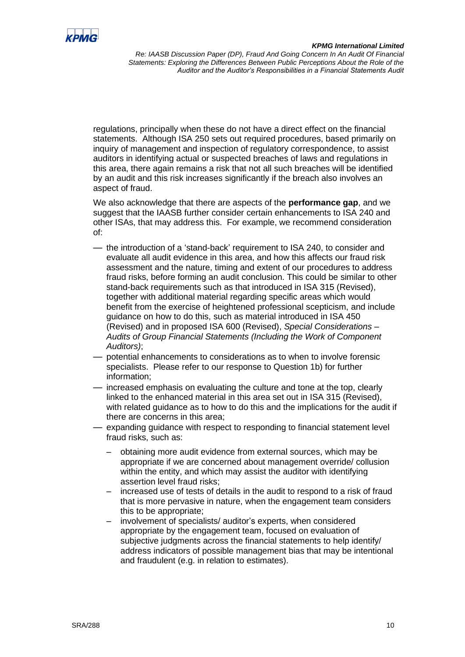![](_page_9_Picture_0.jpeg)

regulations, principally when these do not have a direct effect on the financial statements. Although ISA 250 sets out required procedures, based primarily on inquiry of management and inspection of regulatory correspondence, to assist auditors in identifying actual or suspected breaches of laws and regulations in this area, there again remains a risk that not all such breaches will be identified by an audit and this risk increases significantly if the breach also involves an aspect of fraud.

We also acknowledge that there are aspects of the **performance gap**, and we suggest that the IAASB further consider certain enhancements to ISA 240 and other ISAs, that may address this. For example, we recommend consideration of:

- the introduction of a 'stand-back' requirement to ISA 240, to consider and evaluate all audit evidence in this area, and how this affects our fraud risk assessment and the nature, timing and extent of our procedures to address fraud risks, before forming an audit conclusion. This could be similar to other stand-back requirements such as that introduced in ISA 315 (Revised), together with additional material regarding specific areas which would benefit from the exercise of heightened professional scepticism, and include guidance on how to do this, such as material introduced in ISA 450 (Revised) and in proposed ISA 600 (Revised), *Special Considerations – Audits of Group Financial Statements (Including the Work of Component Auditors)*;
- potential enhancements to considerations as to when to involve forensic specialists. Please refer to our response to Question 1b) for further information;
- increased emphasis on evaluating the culture and tone at the top, clearly linked to the enhanced material in this area set out in ISA 315 (Revised), with related guidance as to how to do this and the implications for the audit if there are concerns in this area;
- expanding quidance with respect to responding to financial statement level fraud risks, such as:
	- obtaining more audit evidence from external sources, which may be appropriate if we are concerned about management override/ collusion within the entity, and which may assist the auditor with identifying assertion level fraud risks;
	- increased use of tests of details in the audit to respond to a risk of fraud that is more pervasive in nature, when the engagement team considers this to be appropriate;
	- involvement of specialists/ auditor's experts, when considered appropriate by the engagement team, focused on evaluation of subjective judgments across the financial statements to help identify/ address indicators of possible management bias that may be intentional and fraudulent (e.g. in relation to estimates).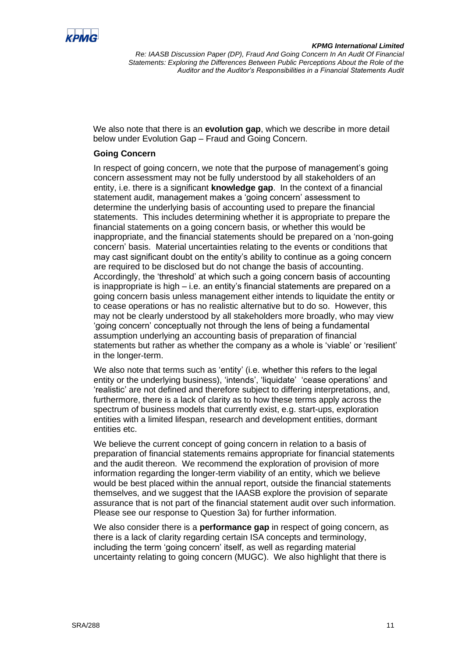![](_page_10_Picture_0.jpeg)

We also note that there is an **evolution gap**, which we describe in more detail below under Evolution Gap – Fraud and Going Concern.

# **Going Concern**

In respect of going concern, we note that the purpose of management's going concern assessment may not be fully understood by all stakeholders of an entity, i.e. there is a significant **knowledge gap**. In the context of a financial statement audit, management makes a 'going concern' assessment to determine the underlying basis of accounting used to prepare the financial statements. This includes determining whether it is appropriate to prepare the financial statements on a going concern basis, or whether this would be inappropriate, and the financial statements should be prepared on a 'non-going concern' basis. Material uncertainties relating to the events or conditions that may cast significant doubt on the entity's ability to continue as a going concern are required to be disclosed but do not change the basis of accounting. Accordingly, the 'threshold' at which such a going concern basis of accounting is inappropriate is high – i.e. an entity's financial statements are prepared on a going concern basis unless management either intends to liquidate the entity or to cease operations or has no realistic alternative but to do so. However, this may not be clearly understood by all stakeholders more broadly, who may view 'going concern' conceptually not through the lens of being a fundamental assumption underlying an accounting basis of preparation of financial statements but rather as whether the company as a whole is 'viable' or 'resilient' in the longer-term.

We also note that terms such as 'entity' (i.e. whether this refers to the legal entity or the underlying business), 'intends', 'liquidate' 'cease operations' and 'realistic' are not defined and therefore subject to differing interpretations, and, furthermore, there is a lack of clarity as to how these terms apply across the spectrum of business models that currently exist, e.g. start-ups, exploration entities with a limited lifespan, research and development entities, dormant entities etc.

We believe the current concept of going concern in relation to a basis of preparation of financial statements remains appropriate for financial statements and the audit thereon. We recommend the exploration of provision of more information regarding the longer-term viability of an entity, which we believe would be best placed within the annual report, outside the financial statements themselves, and we suggest that the IAASB explore the provision of separate assurance that is not part of the financial statement audit over such information. Please see our response to Question 3a) for further information.

We also consider there is a **performance gap** in respect of going concern, as there is a lack of clarity regarding certain ISA concepts and terminology, including the term 'going concern' itself, as well as regarding material uncertainty relating to going concern (MUGC). We also highlight that there is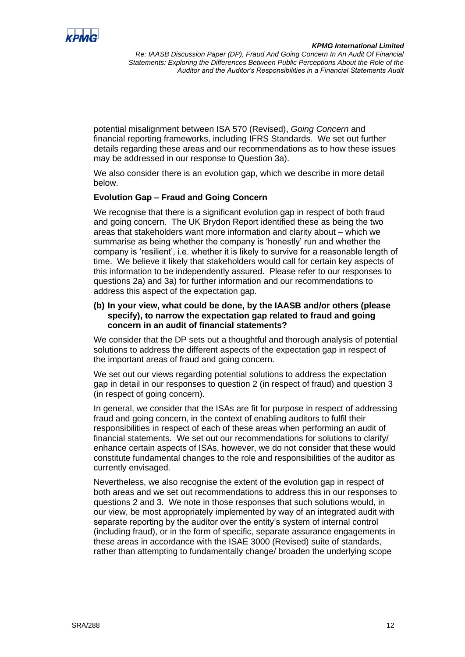![](_page_11_Picture_0.jpeg)

potential misalignment between ISA 570 (Revised), *Going Concern* and financial reporting frameworks, including IFRS Standards. We set out further details regarding these areas and our recommendations as to how these issues may be addressed in our response to Question 3a).

We also consider there is an evolution gap, which we describe in more detail below.

# **Evolution Gap – Fraud and Going Concern**

We recognise that there is a significant evolution gap in respect of both fraud and going concern. The UK Brydon Report identified these as being the two areas that stakeholders want more information and clarity about – which we summarise as being whether the company is 'honestly' run and whether the company is 'resilient', i.e. whether it is likely to survive for a reasonable length of time. We believe it likely that stakeholders would call for certain key aspects of this information to be independently assured. Please refer to our responses to questions 2a) and 3a) for further information and our recommendations to address this aspect of the expectation gap.

#### **(b) In your view, what could be done, by the IAASB and/or others (please specify), to narrow the expectation gap related to fraud and going concern in an audit of financial statements?**

We consider that the DP sets out a thoughtful and thorough analysis of potential solutions to address the different aspects of the expectation gap in respect of the important areas of fraud and going concern.

We set out our views regarding potential solutions to address the expectation gap in detail in our responses to question 2 (in respect of fraud) and question 3 (in respect of going concern).

In general, we consider that the ISAs are fit for purpose in respect of addressing fraud and going concern, in the context of enabling auditors to fulfil their responsibilities in respect of each of these areas when performing an audit of financial statements. We set out our recommendations for solutions to clarify/ enhance certain aspects of ISAs, however, we do not consider that these would constitute fundamental changes to the role and responsibilities of the auditor as currently envisaged.

Nevertheless, we also recognise the extent of the evolution gap in respect of both areas and we set out recommendations to address this in our responses to questions 2 and 3. We note in those responses that such solutions would, in our view, be most appropriately implemented by way of an integrated audit with separate reporting by the auditor over the entity's system of internal control (including fraud), or in the form of specific, separate assurance engagements in these areas in accordance with the ISAE 3000 (Revised) suite of standards, rather than attempting to fundamentally change/ broaden the underlying scope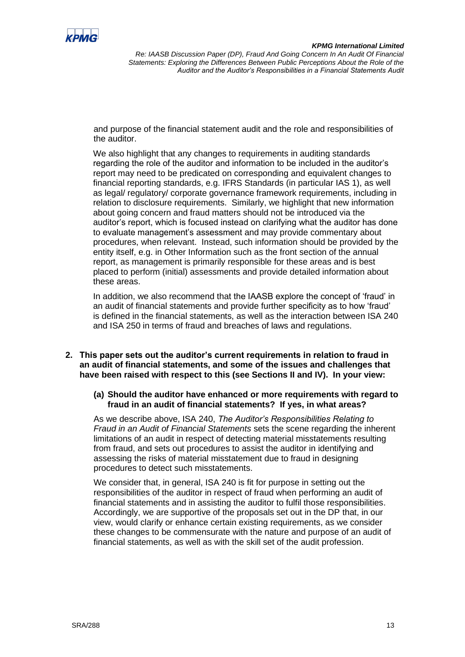![](_page_12_Picture_0.jpeg)

and purpose of the financial statement audit and the role and responsibilities of the auditor.

We also highlight that any changes to requirements in auditing standards regarding the role of the auditor and information to be included in the auditor's report may need to be predicated on corresponding and equivalent changes to financial reporting standards, e.g. IFRS Standards (in particular IAS 1), as well as legal/ regulatory/ corporate governance framework requirements, including in relation to disclosure requirements. Similarly, we highlight that new information about going concern and fraud matters should not be introduced via the auditor's report, which is focused instead on clarifying what the auditor has done to evaluate management's assessment and may provide commentary about procedures, when relevant. Instead, such information should be provided by the entity itself, e.g. in Other Information such as the front section of the annual report, as management is primarily responsible for these areas and is best placed to perform (initial) assessments and provide detailed information about these areas.

In addition, we also recommend that the IAASB explore the concept of 'fraud' in an audit of financial statements and provide further specificity as to how 'fraud' is defined in the financial statements, as well as the interaction between ISA 240 and ISA 250 in terms of fraud and breaches of laws and regulations.

- **2. This paper sets out the auditor's current requirements in relation to fraud in an audit of financial statements, and some of the issues and challenges that have been raised with respect to this (see Sections II and IV). In your view:**
	- **(a) Should the auditor have enhanced or more requirements with regard to fraud in an audit of financial statements? If yes, in what areas?**

As we describe above, ISA 240, *The Auditor's Responsibilities Relating to Fraud in an Audit of Financial Statements* sets the scene regarding the inherent limitations of an audit in respect of detecting material misstatements resulting from fraud, and sets out procedures to assist the auditor in identifying and assessing the risks of material misstatement due to fraud in designing procedures to detect such misstatements.

We consider that, in general, ISA 240 is fit for purpose in setting out the responsibilities of the auditor in respect of fraud when performing an audit of financial statements and in assisting the auditor to fulfil those responsibilities. Accordingly, we are supportive of the proposals set out in the DP that, in our view, would clarify or enhance certain existing requirements, as we consider these changes to be commensurate with the nature and purpose of an audit of financial statements, as well as with the skill set of the audit profession.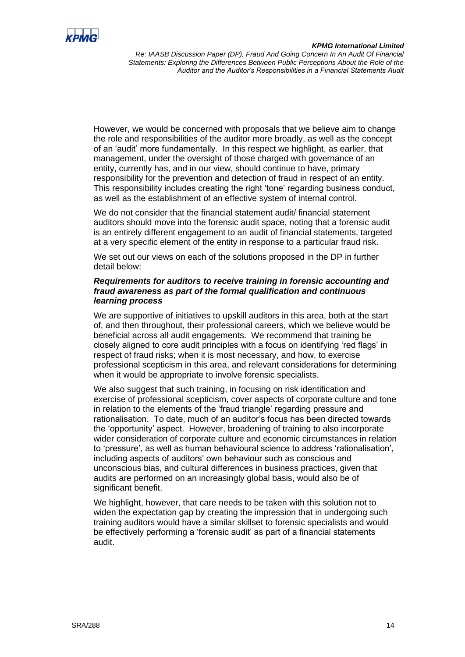![](_page_13_Picture_0.jpeg)

#### *KPMG International Limited*

*Re: IAASB Discussion Paper (DP), Fraud And Going Concern In An Audit Of Financial Statements: Exploring the Differences Between Public Perceptions About the Role of the Auditor and the Auditor's Responsibilities in a Financial Statements Audit*

However, we would be concerned with proposals that we believe aim to change the role and responsibilities of the auditor more broadly, as well as the concept of an 'audit' more fundamentally. In this respect we highlight, as earlier, that management, under the oversight of those charged with governance of an entity, currently has, and in our view, should continue to have, primary responsibility for the prevention and detection of fraud in respect of an entity. This responsibility includes creating the right 'tone' regarding business conduct, as well as the establishment of an effective system of internal control.

We do not consider that the financial statement audit/ financial statement auditors should move into the forensic audit space, noting that a forensic audit is an entirely different engagement to an audit of financial statements, targeted at a very specific element of the entity in response to a particular fraud risk.

We set out our views on each of the solutions proposed in the DP in further detail below:

## *Requirements for auditors to receive training in forensic accounting and fraud awareness as part of the formal qualification and continuous learning process*

We are supportive of initiatives to upskill auditors in this area, both at the start of, and then throughout, their professional careers, which we believe would be beneficial across all audit engagements. We recommend that training be closely aligned to core audit principles with a focus on identifying 'red flags' in respect of fraud risks; when it is most necessary, and how, to exercise professional scepticism in this area, and relevant considerations for determining when it would be appropriate to involve forensic specialists.

We also suggest that such training, in focusing on risk identification and exercise of professional scepticism, cover aspects of corporate culture and tone in relation to the elements of the 'fraud triangle' regarding pressure and rationalisation. To date, much of an auditor's focus has been directed towards the 'opportunity' aspect. However, broadening of training to also incorporate wider consideration of corporate culture and economic circumstances in relation to 'pressure', as well as human behavioural science to address 'rationalisation', including aspects of auditors' own behaviour such as conscious and unconscious bias, and cultural differences in business practices, given that audits are performed on an increasingly global basis, would also be of significant benefit.

We highlight, however, that care needs to be taken with this solution not to widen the expectation gap by creating the impression that in undergoing such training auditors would have a similar skillset to forensic specialists and would be effectively performing a 'forensic audit' as part of a financial statements audit.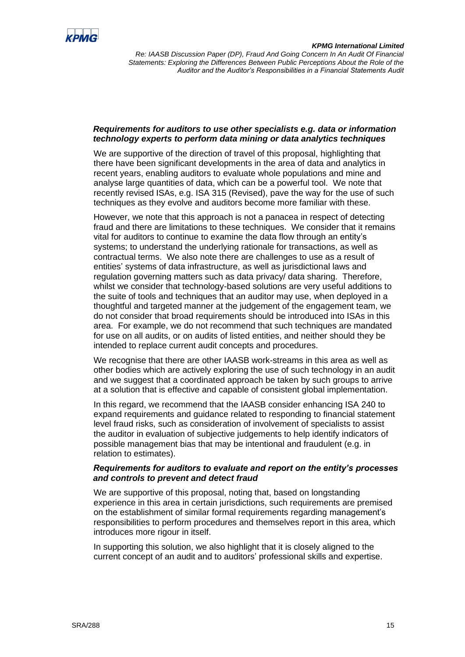![](_page_14_Picture_0.jpeg)

## *Requirements for auditors to use other specialists e.g. data or information technology experts to perform data mining or data analytics techniques*

We are supportive of the direction of travel of this proposal, highlighting that there have been significant developments in the area of data and analytics in recent years, enabling auditors to evaluate whole populations and mine and analyse large quantities of data, which can be a powerful tool. We note that recently revised ISAs, e.g. ISA 315 (Revised), pave the way for the use of such techniques as they evolve and auditors become more familiar with these.

However, we note that this approach is not a panacea in respect of detecting fraud and there are limitations to these techniques. We consider that it remains vital for auditors to continue to examine the data flow through an entity's systems; to understand the underlying rationale for transactions, as well as contractual terms. We also note there are challenges to use as a result of entities' systems of data infrastructure, as well as jurisdictional laws and regulation governing matters such as data privacy/ data sharing. Therefore, whilst we consider that technology-based solutions are very useful additions to the suite of tools and techniques that an auditor may use, when deployed in a thoughtful and targeted manner at the judgement of the engagement team, we do not consider that broad requirements should be introduced into ISAs in this area. For example, we do not recommend that such techniques are mandated for use on all audits, or on audits of listed entities, and neither should they be intended to replace current audit concepts and procedures.

We recognise that there are other IAASB work-streams in this area as well as other bodies which are actively exploring the use of such technology in an audit and we suggest that a coordinated approach be taken by such groups to arrive at a solution that is effective and capable of consistent global implementation.

In this regard, we recommend that the IAASB consider enhancing ISA 240 to expand requirements and guidance related to responding to financial statement level fraud risks, such as consideration of involvement of specialists to assist the auditor in evaluation of subjective judgements to help identify indicators of possible management bias that may be intentional and fraudulent (e.g. in relation to estimates).

## *Requirements for auditors to evaluate and report on the entity's processes and controls to prevent and detect fraud*

We are supportive of this proposal, noting that, based on longstanding experience in this area in certain jurisdictions, such requirements are premised on the establishment of similar formal requirements regarding management's responsibilities to perform procedures and themselves report in this area, which introduces more rigour in itself.

In supporting this solution, we also highlight that it is closely aligned to the current concept of an audit and to auditors' professional skills and expertise.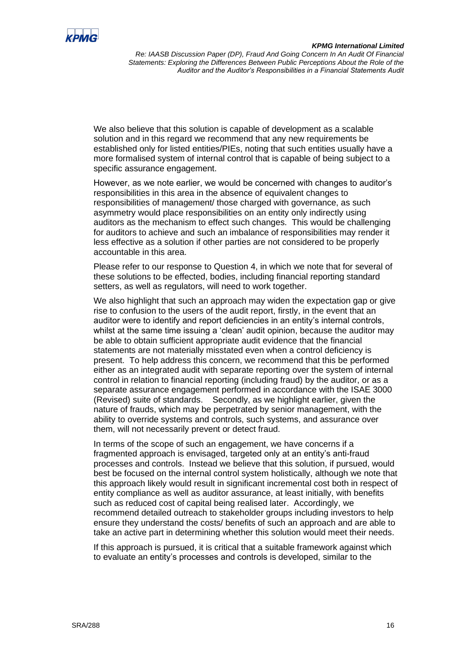![](_page_15_Picture_0.jpeg)

We also believe that this solution is capable of development as a scalable solution and in this regard we recommend that any new requirements be established only for listed entities/PIEs, noting that such entities usually have a more formalised system of internal control that is capable of being subject to a specific assurance engagement.

However, as we note earlier, we would be concerned with changes to auditor's responsibilities in this area in the absence of equivalent changes to responsibilities of management/ those charged with governance, as such asymmetry would place responsibilities on an entity only indirectly using auditors as the mechanism to effect such changes. This would be challenging for auditors to achieve and such an imbalance of responsibilities may render it less effective as a solution if other parties are not considered to be properly accountable in this area.

Please refer to our response to Question 4, in which we note that for several of these solutions to be effected, bodies, including financial reporting standard setters, as well as regulators, will need to work together.

We also highlight that such an approach may widen the expectation gap or give rise to confusion to the users of the audit report, firstly, in the event that an auditor were to identify and report deficiencies in an entity's internal controls, whilst at the same time issuing a 'clean' audit opinion, because the auditor may be able to obtain sufficient appropriate audit evidence that the financial statements are not materially misstated even when a control deficiency is present. To help address this concern, we recommend that this be performed either as an integrated audit with separate reporting over the system of internal control in relation to financial reporting (including fraud) by the auditor, or as a separate assurance engagement performed in accordance with the ISAE 3000 (Revised) suite of standards. Secondly, as we highlight earlier, given the nature of frauds, which may be perpetrated by senior management, with the ability to override systems and controls, such systems, and assurance over them, will not necessarily prevent or detect fraud.

In terms of the scope of such an engagement, we have concerns if a fragmented approach is envisaged, targeted only at an entity's anti-fraud processes and controls. Instead we believe that this solution, if pursued, would best be focused on the internal control system holistically, although we note that this approach likely would result in significant incremental cost both in respect of entity compliance as well as auditor assurance, at least initially, with benefits such as reduced cost of capital being realised later. Accordingly, we recommend detailed outreach to stakeholder groups including investors to help ensure they understand the costs/ benefits of such an approach and are able to take an active part in determining whether this solution would meet their needs.

If this approach is pursued, it is critical that a suitable framework against which to evaluate an entity's processes and controls is developed, similar to the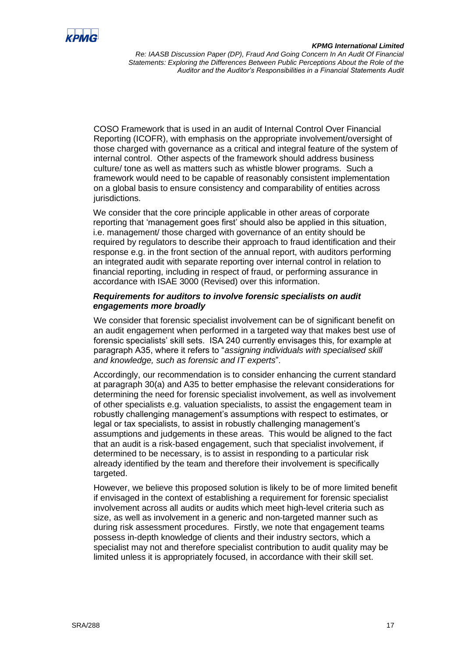![](_page_16_Picture_0.jpeg)

COSO Framework that is used in an audit of Internal Control Over Financial Reporting (ICOFR), with emphasis on the appropriate involvement/oversight of those charged with governance as a critical and integral feature of the system of internal control. Other aspects of the framework should address business culture/ tone as well as matters such as whistle blower programs. Such a framework would need to be capable of reasonably consistent implementation on a global basis to ensure consistency and comparability of entities across jurisdictions.

We consider that the core principle applicable in other areas of corporate reporting that 'management goes first' should also be applied in this situation, i.e. management/ those charged with governance of an entity should be required by regulators to describe their approach to fraud identification and their response e.g. in the front section of the annual report, with auditors performing an integrated audit with separate reporting over internal control in relation to financial reporting, including in respect of fraud, or performing assurance in accordance with ISAE 3000 (Revised) over this information.

## *Requirements for auditors to involve forensic specialists on audit engagements more broadly*

We consider that forensic specialist involvement can be of significant benefit on an audit engagement when performed in a targeted way that makes best use of forensic specialists' skill sets. ISA 240 currently envisages this, for example at paragraph A35, where it refers to "*assigning individuals with specialised skill and knowledge, such as forensic and IT experts*".

Accordingly, our recommendation is to consider enhancing the current standard at paragraph 30(a) and A35 to better emphasise the relevant considerations for determining the need for forensic specialist involvement, as well as involvement of other specialists e.g. valuation specialists, to assist the engagement team in robustly challenging management's assumptions with respect to estimates, or legal or tax specialists, to assist in robustly challenging management's assumptions and judgements in these areas. This would be aligned to the fact that an audit is a risk-based engagement, such that specialist involvement, if determined to be necessary, is to assist in responding to a particular risk already identified by the team and therefore their involvement is specifically targeted.

However, we believe this proposed solution is likely to be of more limited benefit if envisaged in the context of establishing a requirement for forensic specialist involvement across all audits or audits which meet high-level criteria such as size, as well as involvement in a generic and non-targeted manner such as during risk assessment procedures. Firstly, we note that engagement teams possess in-depth knowledge of clients and their industry sectors, which a specialist may not and therefore specialist contribution to audit quality may be limited unless it is appropriately focused, in accordance with their skill set.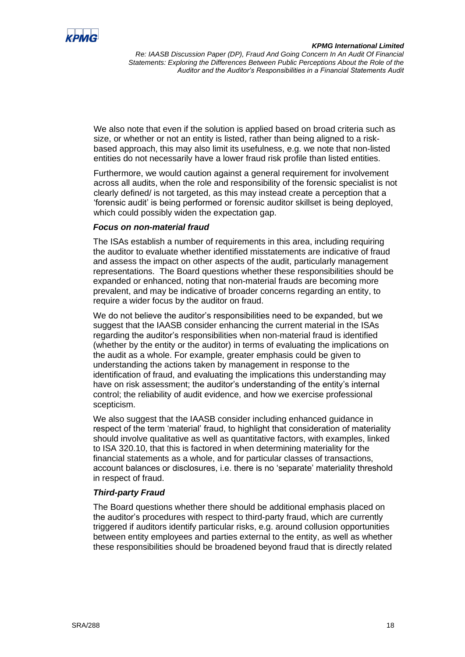![](_page_17_Picture_0.jpeg)

We also note that even if the solution is applied based on broad criteria such as size, or whether or not an entity is listed, rather than being aligned to a riskbased approach, this may also limit its usefulness, e.g. we note that non-listed entities do not necessarily have a lower fraud risk profile than listed entities.

Furthermore, we would caution against a general requirement for involvement across all audits, when the role and responsibility of the forensic specialist is not clearly defined/ is not targeted, as this may instead create a perception that a 'forensic audit' is being performed or forensic auditor skillset is being deployed, which could possibly widen the expectation gap.

## *Focus on non-material fraud*

The ISAs establish a number of requirements in this area, including requiring the auditor to evaluate whether identified misstatements are indicative of fraud and assess the impact on other aspects of the audit, particularly management representations. The Board questions whether these responsibilities should be expanded or enhanced, noting that non-material frauds are becoming more prevalent, and may be indicative of broader concerns regarding an entity, to require a wider focus by the auditor on fraud.

We do not believe the auditor's responsibilities need to be expanded, but we suggest that the IAASB consider enhancing the current material in the ISAs regarding the auditor's responsibilities when non-material fraud is identified (whether by the entity or the auditor) in terms of evaluating the implications on the audit as a whole. For example, greater emphasis could be given to understanding the actions taken by management in response to the identification of fraud, and evaluating the implications this understanding may have on risk assessment; the auditor's understanding of the entity's internal control; the reliability of audit evidence, and how we exercise professional scepticism.

We also suggest that the IAASB consider including enhanced guidance in respect of the term 'material' fraud, to highlight that consideration of materiality should involve qualitative as well as quantitative factors, with examples, linked to ISA 320.10, that this is factored in when determining materiality for the financial statements as a whole, and for particular classes of transactions, account balances or disclosures, i.e. there is no 'separate' materiality threshold in respect of fraud.

# *Third-party Fraud*

The Board questions whether there should be additional emphasis placed on the auditor's procedures with respect to third-party fraud, which are currently triggered if auditors identify particular risks, e.g. around collusion opportunities between entity employees and parties external to the entity, as well as whether these responsibilities should be broadened beyond fraud that is directly related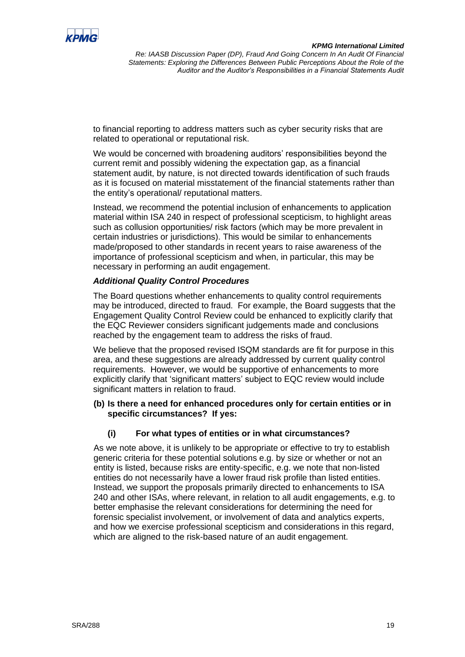![](_page_18_Picture_0.jpeg)

to financial reporting to address matters such as cyber security risks that are related to operational or reputational risk.

We would be concerned with broadening auditors' responsibilities beyond the current remit and possibly widening the expectation gap, as a financial statement audit, by nature, is not directed towards identification of such frauds as it is focused on material misstatement of the financial statements rather than the entity's operational/ reputational matters.

Instead, we recommend the potential inclusion of enhancements to application material within ISA 240 in respect of professional scepticism, to highlight areas such as collusion opportunities/ risk factors (which may be more prevalent in certain industries or jurisdictions). This would be similar to enhancements made/proposed to other standards in recent years to raise awareness of the importance of professional scepticism and when, in particular, this may be necessary in performing an audit engagement.

# *Additional Quality Control Procedures*

The Board questions whether enhancements to quality control requirements may be introduced, directed to fraud. For example, the Board suggests that the Engagement Quality Control Review could be enhanced to explicitly clarify that the EQC Reviewer considers significant judgements made and conclusions reached by the engagement team to address the risks of fraud.

We believe that the proposed revised ISQM standards are fit for purpose in this area, and these suggestions are already addressed by current quality control requirements. However, we would be supportive of enhancements to more explicitly clarify that 'significant matters' subject to EQC review would include significant matters in relation to fraud.

## **(b) Is there a need for enhanced procedures only for certain entities or in specific circumstances? If yes:**

# **(i) For what types of entities or in what circumstances?**

As we note above, it is unlikely to be appropriate or effective to try to establish generic criteria for these potential solutions e.g. by size or whether or not an entity is listed, because risks are entity-specific, e.g. we note that non-listed entities do not necessarily have a lower fraud risk profile than listed entities. Instead, we support the proposals primarily directed to enhancements to ISA 240 and other ISAs, where relevant, in relation to all audit engagements, e.g. to better emphasise the relevant considerations for determining the need for forensic specialist involvement, or involvement of data and analytics experts, and how we exercise professional scepticism and considerations in this regard, which are aligned to the risk-based nature of an audit engagement.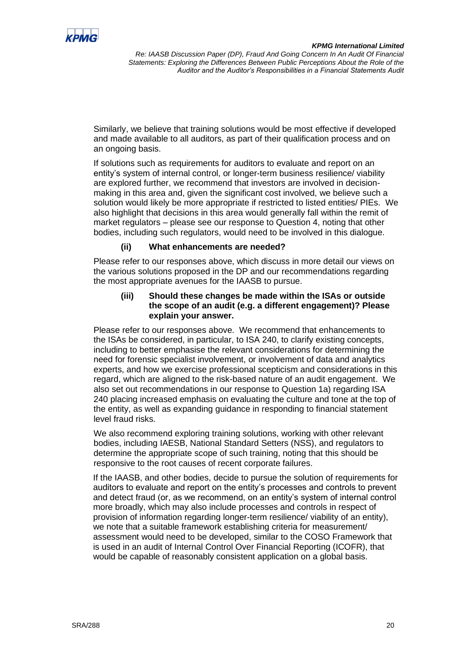![](_page_19_Picture_0.jpeg)

Similarly, we believe that training solutions would be most effective if developed and made available to all auditors, as part of their qualification process and on an ongoing basis.

If solutions such as requirements for auditors to evaluate and report on an entity's system of internal control, or longer-term business resilience/ viability are explored further, we recommend that investors are involved in decisionmaking in this area and, given the significant cost involved, we believe such a solution would likely be more appropriate if restricted to listed entities/ PIEs. We also highlight that decisions in this area would generally fall within the remit of market regulators – please see our response to Question 4, noting that other bodies, including such regulators, would need to be involved in this dialogue.

# **(ii) What enhancements are needed?**

Please refer to our responses above, which discuss in more detail our views on the various solutions proposed in the DP and our recommendations regarding the most appropriate avenues for the IAASB to pursue.

#### **(iii) Should these changes be made within the ISAs or outside the scope of an audit (e.g. a different engagement)? Please explain your answer.**

Please refer to our responses above. We recommend that enhancements to the ISAs be considered, in particular, to ISA 240, to clarify existing concepts, including to better emphasise the relevant considerations for determining the need for forensic specialist involvement, or involvement of data and analytics experts, and how we exercise professional scepticism and considerations in this regard, which are aligned to the risk-based nature of an audit engagement. We also set out recommendations in our response to Question 1a) regarding ISA 240 placing increased emphasis on evaluating the culture and tone at the top of the entity, as well as expanding guidance in responding to financial statement level fraud risks.

We also recommend exploring training solutions, working with other relevant bodies, including IAESB, National Standard Setters (NSS), and regulators to determine the appropriate scope of such training, noting that this should be responsive to the root causes of recent corporate failures.

If the IAASB, and other bodies, decide to pursue the solution of requirements for auditors to evaluate and report on the entity's processes and controls to prevent and detect fraud (or, as we recommend, on an entity's system of internal control more broadly, which may also include processes and controls in respect of provision of information regarding longer-term resilience/ viability of an entity), we note that a suitable framework establishing criteria for measurement/ assessment would need to be developed, similar to the COSO Framework that is used in an audit of Internal Control Over Financial Reporting (ICOFR), that would be capable of reasonably consistent application on a global basis.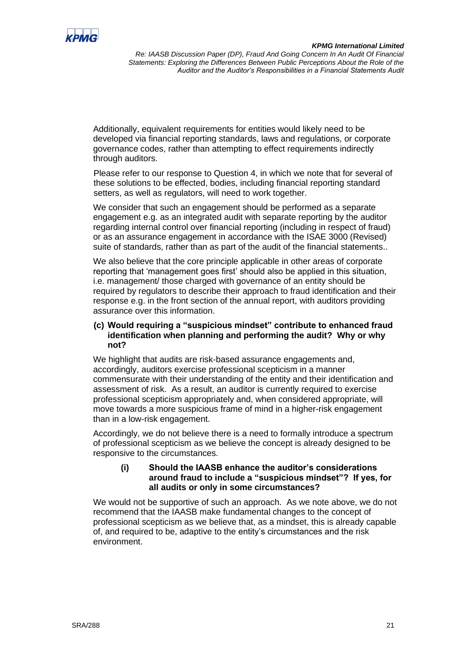![](_page_20_Picture_0.jpeg)

Additionally, equivalent requirements for entities would likely need to be developed via financial reporting standards, laws and regulations, or corporate governance codes, rather than attempting to effect requirements indirectly through auditors.

Please refer to our response to Question 4, in which we note that for several of these solutions to be effected, bodies, including financial reporting standard setters, as well as regulators, will need to work together.

We consider that such an engagement should be performed as a separate engagement e.g. as an integrated audit with separate reporting by the auditor regarding internal control over financial reporting (including in respect of fraud) or as an assurance engagement in accordance with the ISAE 3000 (Revised) suite of standards, rather than as part of the audit of the financial statements..

We also believe that the core principle applicable in other areas of corporate reporting that 'management goes first' should also be applied in this situation, i.e. management/ those charged with governance of an entity should be required by regulators to describe their approach to fraud identification and their response e.g. in the front section of the annual report, with auditors providing assurance over this information.

## **(c) Would requiring a "suspicious mindset" contribute to enhanced fraud identification when planning and performing the audit? Why or why not?**

We highlight that audits are risk-based assurance engagements and, accordingly, auditors exercise professional scepticism in a manner commensurate with their understanding of the entity and their identification and assessment of risk. As a result, an auditor is currently required to exercise professional scepticism appropriately and, when considered appropriate, will move towards a more suspicious frame of mind in a higher-risk engagement than in a low-risk engagement.

Accordingly, we do not believe there is a need to formally introduce a spectrum of professional scepticism as we believe the concept is already designed to be responsive to the circumstances.

## **(i) Should the IAASB enhance the auditor's considerations around fraud to include a "suspicious mindset"? If yes, for all audits or only in some circumstances?**

We would not be supportive of such an approach. As we note above, we do not recommend that the IAASB make fundamental changes to the concept of professional scepticism as we believe that, as a mindset, this is already capable of, and required to be, adaptive to the entity's circumstances and the risk environment.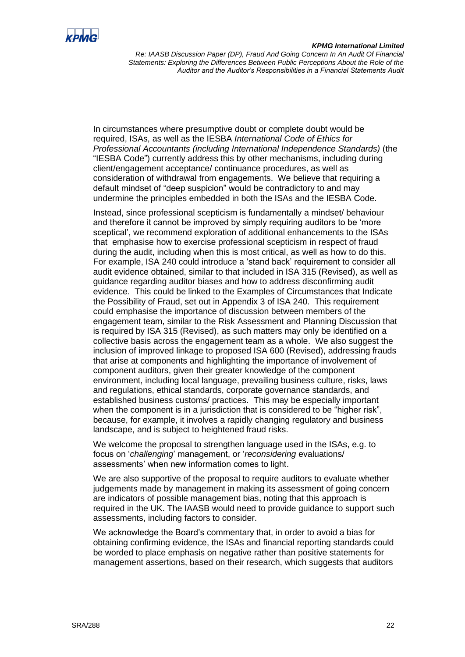![](_page_21_Picture_0.jpeg)

#### *KPMG International Limited*

*Re: IAASB Discussion Paper (DP), Fraud And Going Concern In An Audit Of Financial Statements: Exploring the Differences Between Public Perceptions About the Role of the Auditor and the Auditor's Responsibilities in a Financial Statements Audit*

In circumstances where presumptive doubt or complete doubt would be required, ISAs, as well as the IESBA *International Code of Ethics for Professional Accountants (including International Independence Standards)* (the "IESBA Code") currently address this by other mechanisms, including during client/engagement acceptance/ continuance procedures, as well as consideration of withdrawal from engagements. We believe that requiring a default mindset of "deep suspicion" would be contradictory to and may undermine the principles embedded in both the ISAs and the IESBA Code.

Instead, since professional scepticism is fundamentally a mindset/ behaviour and therefore it cannot be improved by simply requiring auditors to be 'more sceptical', we recommend exploration of additional enhancements to the ISAs that emphasise how to exercise professional scepticism in respect of fraud during the audit, including when this is most critical, as well as how to do this. For example, ISA 240 could introduce a 'stand back' requirement to consider all audit evidence obtained, similar to that included in ISA 315 (Revised), as well as guidance regarding auditor biases and how to address disconfirming audit evidence. This could be linked to the Examples of Circumstances that Indicate the Possibility of Fraud, set out in Appendix 3 of ISA 240. This requirement could emphasise the importance of discussion between members of the engagement team, similar to the Risk Assessment and Planning Discussion that is required by ISA 315 (Revised), as such matters may only be identified on a collective basis across the engagement team as a whole. We also suggest the inclusion of improved linkage to proposed ISA 600 (Revised), addressing frauds that arise at components and highlighting the importance of involvement of component auditors, given their greater knowledge of the component environment, including local language, prevailing business culture, risks, laws and regulations, ethical standards, corporate governance standards, and established business customs/ practices. This may be especially important when the component is in a jurisdiction that is considered to be "higher risk", because, for example, it involves a rapidly changing regulatory and business landscape, and is subject to heightened fraud risks.

We welcome the proposal to strengthen language used in the ISAs, e.g. to focus on '*challenging*' management, or '*reconsidering* evaluations/ assessments' when new information comes to light.

We are also supportive of the proposal to require auditors to evaluate whether judgements made by management in making its assessment of going concern are indicators of possible management bias, noting that this approach is required in the UK. The IAASB would need to provide guidance to support such assessments, including factors to consider.

We acknowledge the Board's commentary that, in order to avoid a bias for obtaining confirming evidence, the ISAs and financial reporting standards could be worded to place emphasis on negative rather than positive statements for management assertions, based on their research, which suggests that auditors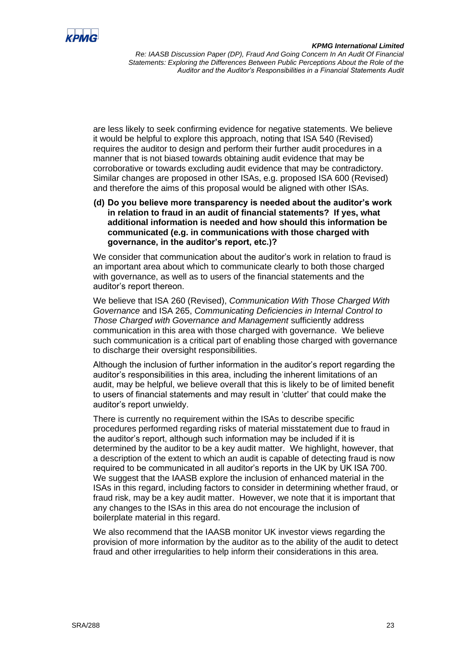![](_page_22_Picture_0.jpeg)

are less likely to seek confirming evidence for negative statements. We believe it would be helpful to explore this approach, noting that ISA 540 (Revised) requires the auditor to design and perform their further audit procedures in a manner that is not biased towards obtaining audit evidence that may be corroborative or towards excluding audit evidence that may be contradictory. Similar changes are proposed in other ISAs, e.g. proposed ISA 600 (Revised) and therefore the aims of this proposal would be aligned with other ISAs.

**(d) Do you believe more transparency is needed about the auditor's work in relation to fraud in an audit of financial statements? If yes, what additional information is needed and how should this information be communicated (e.g. in communications with those charged with governance, in the auditor's report, etc.)?**

We consider that communication about the auditor's work in relation to fraud is an important area about which to communicate clearly to both those charged with governance, as well as to users of the financial statements and the auditor's report thereon.

We believe that ISA 260 (Revised), *Communication With Those Charged With Governance* and ISA 265, *Communicating Deficiencies in Internal Control to Those Charged with Governance and Management* sufficiently address communication in this area with those charged with governance. We believe such communication is a critical part of enabling those charged with governance to discharge their oversight responsibilities.

Although the inclusion of further information in the auditor's report regarding the auditor's responsibilities in this area, including the inherent limitations of an audit, may be helpful, we believe overall that this is likely to be of limited benefit to users of financial statements and may result in 'clutter' that could make the auditor's report unwieldy.

There is currently no requirement within the ISAs to describe specific procedures performed regarding risks of material misstatement due to fraud in the auditor's report, although such information may be included if it is determined by the auditor to be a key audit matter. We highlight, however, that a description of the extent to which an audit is capable of detecting fraud is now required to be communicated in all auditor's reports in the UK by UK ISA 700. We suggest that the IAASB explore the inclusion of enhanced material in the ISAs in this regard, including factors to consider in determining whether fraud, or fraud risk, may be a key audit matter. However, we note that it is important that any changes to the ISAs in this area do not encourage the inclusion of boilerplate material in this regard.

We also recommend that the IAASB monitor UK investor views regarding the provision of more information by the auditor as to the ability of the audit to detect fraud and other irregularities to help inform their considerations in this area.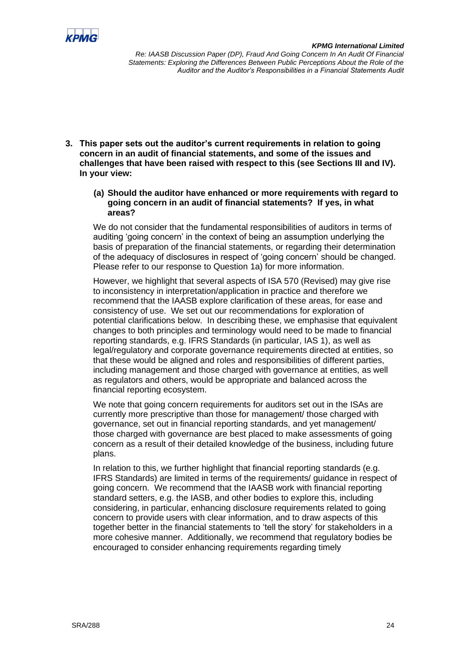![](_page_23_Picture_0.jpeg)

- **3. This paper sets out the auditor's current requirements in relation to going concern in an audit of financial statements, and some of the issues and challenges that have been raised with respect to this (see Sections III and IV). In your view:**
	- **(a) Should the auditor have enhanced or more requirements with regard to going concern in an audit of financial statements? If yes, in what areas?**

We do not consider that the fundamental responsibilities of auditors in terms of auditing 'going concern' in the context of being an assumption underlying the basis of preparation of the financial statements, or regarding their determination of the adequacy of disclosures in respect of 'going concern' should be changed. Please refer to our response to Question 1a) for more information.

However, we highlight that several aspects of ISA 570 (Revised) may give rise to inconsistency in interpretation/application in practice and therefore we recommend that the IAASB explore clarification of these areas, for ease and consistency of use. We set out our recommendations for exploration of potential clarifications below. In describing these, we emphasise that equivalent changes to both principles and terminology would need to be made to financial reporting standards, e.g. IFRS Standards (in particular, IAS 1), as well as legal/regulatory and corporate governance requirements directed at entities, so that these would be aligned and roles and responsibilities of different parties, including management and those charged with governance at entities, as well as regulators and others, would be appropriate and balanced across the financial reporting ecosystem.

We note that going concern requirements for auditors set out in the ISAs are currently more prescriptive than those for management/ those charged with governance, set out in financial reporting standards, and yet management/ those charged with governance are best placed to make assessments of going concern as a result of their detailed knowledge of the business, including future plans.

In relation to this, we further highlight that financial reporting standards (e.g. IFRS Standards) are limited in terms of the requirements/ guidance in respect of going concern. We recommend that the IAASB work with financial reporting standard setters, e.g. the IASB, and other bodies to explore this, including considering, in particular, enhancing disclosure requirements related to going concern to provide users with clear information, and to draw aspects of this together better in the financial statements to 'tell the story' for stakeholders in a more cohesive manner. Additionally, we recommend that regulatory bodies be encouraged to consider enhancing requirements regarding timely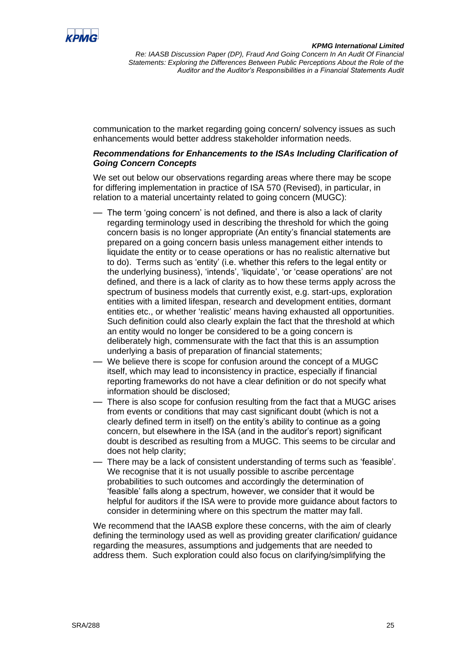![](_page_24_Picture_0.jpeg)

communication to the market regarding going concern/ solvency issues as such enhancements would better address stakeholder information needs.

## *Recommendations for Enhancements to the ISAs Including Clarification of Going Concern Concepts*

We set out below our observations regarding areas where there may be scope for differing implementation in practice of ISA 570 (Revised), in particular, in relation to a material uncertainty related to going concern (MUGC):

- The term 'going concern' is not defined, and there is also a lack of clarity regarding terminology used in describing the threshold for which the going concern basis is no longer appropriate (An entity's financial statements are prepared on a going concern basis unless management either intends to liquidate the entity or to cease operations or has no realistic alternative but to do). Terms such as 'entity' (i.e. whether this refers to the legal entity or the underlying business), 'intends', 'liquidate', 'or 'cease operations' are not defined, and there is a lack of clarity as to how these terms apply across the spectrum of business models that currently exist, e.g. start-ups, exploration entities with a limited lifespan, research and development entities, dormant entities etc., or whether 'realistic' means having exhausted all opportunities. Such definition could also clearly explain the fact that the threshold at which an entity would no longer be considered to be a going concern is deliberately high, commensurate with the fact that this is an assumption underlying a basis of preparation of financial statements;
- We believe there is scope for confusion around the concept of a MUGC itself, which may lead to inconsistency in practice, especially if financial reporting frameworks do not have a clear definition or do not specify what information should be disclosed;
- There is also scope for confusion resulting from the fact that a MUGC arises from events or conditions that may cast significant doubt (which is not a clearly defined term in itself) on the entity's ability to continue as a going concern, but elsewhere in the ISA (and in the auditor's report) significant doubt is described as resulting from a MUGC. This seems to be circular and does not help clarity;
- There may be a lack of consistent understanding of terms such as 'feasible'. We recognise that it is not usually possible to ascribe percentage probabilities to such outcomes and accordingly the determination of 'feasible' falls along a spectrum, however, we consider that it would be helpful for auditors if the ISA were to provide more guidance about factors to consider in determining where on this spectrum the matter may fall.

We recommend that the IAASB explore these concerns, with the aim of clearly defining the terminology used as well as providing greater clarification/ guidance regarding the measures, assumptions and judgements that are needed to address them. Such exploration could also focus on clarifying/simplifying the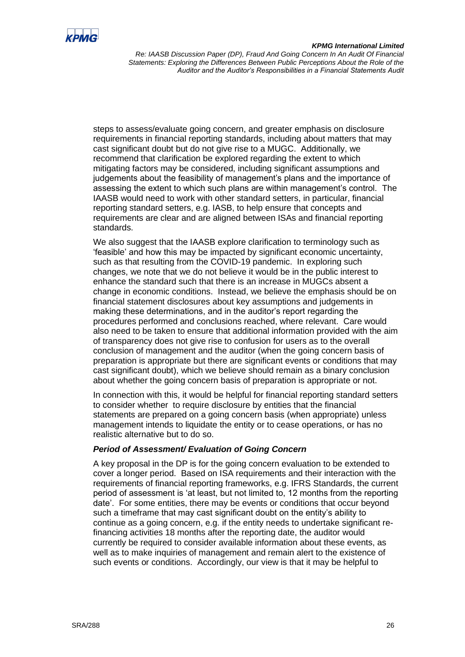![](_page_25_Picture_0.jpeg)

#### *KPMG International Limited*

*Re: IAASB Discussion Paper (DP), Fraud And Going Concern In An Audit Of Financial Statements: Exploring the Differences Between Public Perceptions About the Role of the Auditor and the Auditor's Responsibilities in a Financial Statements Audit*

steps to assess/evaluate going concern, and greater emphasis on disclosure requirements in financial reporting standards, including about matters that may cast significant doubt but do not give rise to a MUGC. Additionally, we recommend that clarification be explored regarding the extent to which mitigating factors may be considered, including significant assumptions and judgements about the feasibility of management's plans and the importance of assessing the extent to which such plans are within management's control. The IAASB would need to work with other standard setters, in particular, financial reporting standard setters, e.g. IASB, to help ensure that concepts and requirements are clear and are aligned between ISAs and financial reporting standards.

We also suggest that the IAASB explore clarification to terminology such as 'feasible' and how this may be impacted by significant economic uncertainty, such as that resulting from the COVID-19 pandemic. In exploring such changes, we note that we do not believe it would be in the public interest to enhance the standard such that there is an increase in MUGCs absent a change in economic conditions. Instead, we believe the emphasis should be on financial statement disclosures about key assumptions and judgements in making these determinations, and in the auditor's report regarding the procedures performed and conclusions reached, where relevant. Care would also need to be taken to ensure that additional information provided with the aim of transparency does not give rise to confusion for users as to the overall conclusion of management and the auditor (when the going concern basis of preparation is appropriate but there are significant events or conditions that may cast significant doubt), which we believe should remain as a binary conclusion about whether the going concern basis of preparation is appropriate or not.

In connection with this, it would be helpful for financial reporting standard setters to consider whether to require disclosure by entities that the financial statements are prepared on a going concern basis (when appropriate) unless management intends to liquidate the entity or to cease operations, or has no realistic alternative but to do so.

#### *Period of Assessment/ Evaluation of Going Concern*

A key proposal in the DP is for the going concern evaluation to be extended to cover a longer period. Based on ISA requirements and their interaction with the requirements of financial reporting frameworks, e.g. IFRS Standards, the current period of assessment is 'at least, but not limited to, 12 months from the reporting date'. For some entities, there may be events or conditions that occur beyond such a timeframe that may cast significant doubt on the entity's ability to continue as a going concern, e.g. if the entity needs to undertake significant refinancing activities 18 months after the reporting date, the auditor would currently be required to consider available information about these events, as well as to make inquiries of management and remain alert to the existence of such events or conditions. Accordingly, our view is that it may be helpful to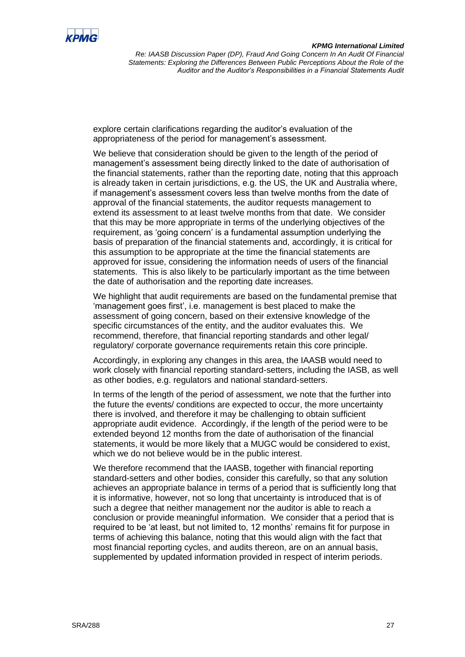![](_page_26_Picture_0.jpeg)

explore certain clarifications regarding the auditor's evaluation of the appropriateness of the period for management's assessment.

We believe that consideration should be given to the length of the period of management's assessment being directly linked to the date of authorisation of the financial statements, rather than the reporting date, noting that this approach is already taken in certain jurisdictions, e.g. the US, the UK and Australia where, if management's assessment covers less than twelve months from the date of approval of the financial statements, the auditor requests management to extend its assessment to at least twelve months from that date. We consider that this may be more appropriate in terms of the underlying objectives of the requirement, as 'going concern' is a fundamental assumption underlying the basis of preparation of the financial statements and, accordingly, it is critical for this assumption to be appropriate at the time the financial statements are approved for issue, considering the information needs of users of the financial statements. This is also likely to be particularly important as the time between the date of authorisation and the reporting date increases.

We highlight that audit requirements are based on the fundamental premise that 'management goes first', i.e. management is best placed to make the assessment of going concern, based on their extensive knowledge of the specific circumstances of the entity, and the auditor evaluates this. We recommend, therefore, that financial reporting standards and other legal/ regulatory/ corporate governance requirements retain this core principle.

Accordingly, in exploring any changes in this area, the IAASB would need to work closely with financial reporting standard-setters, including the IASB, as well as other bodies, e.g. regulators and national standard-setters.

In terms of the length of the period of assessment, we note that the further into the future the events/ conditions are expected to occur, the more uncertainty there is involved, and therefore it may be challenging to obtain sufficient appropriate audit evidence. Accordingly, if the length of the period were to be extended beyond 12 months from the date of authorisation of the financial statements, it would be more likely that a MUGC would be considered to exist, which we do not believe would be in the public interest.

We therefore recommend that the IAASB, together with financial reporting standard-setters and other bodies, consider this carefully, so that any solution achieves an appropriate balance in terms of a period that is sufficiently long that it is informative, however, not so long that uncertainty is introduced that is of such a degree that neither management nor the auditor is able to reach a conclusion or provide meaningful information. We consider that a period that is required to be 'at least, but not limited to, 12 months' remains fit for purpose in terms of achieving this balance, noting that this would align with the fact that most financial reporting cycles, and audits thereon, are on an annual basis, supplemented by updated information provided in respect of interim periods.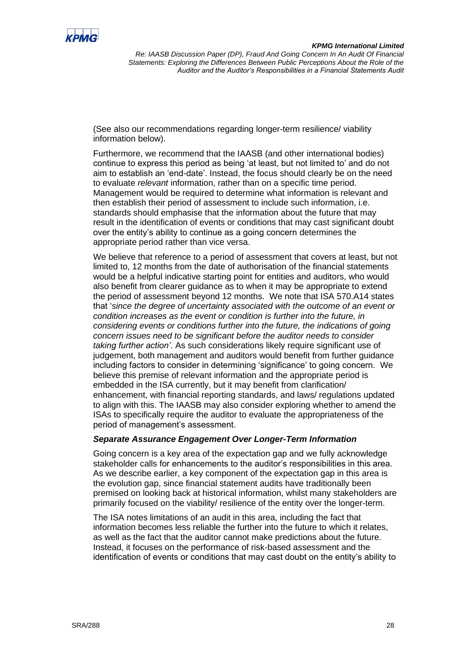![](_page_27_Picture_0.jpeg)

(See also our recommendations regarding longer-term resilience/ viability information below).

Furthermore, we recommend that the IAASB (and other international bodies) continue to express this period as being 'at least, but not limited to' and do not aim to establish an 'end-date'. Instead, the focus should clearly be on the need to evaluate *relevant* information, rather than on a specific time period. Management would be required to determine what information is relevant and then establish their period of assessment to include such information, i.e. standards should emphasise that the information about the future that may result in the identification of events or conditions that may cast significant doubt over the entity's ability to continue as a going concern determines the appropriate period rather than vice versa.

We believe that reference to a period of assessment that covers at least, but not limited to, 12 months from the date of authorisation of the financial statements would be a helpful indicative starting point for entities and auditors, who would also benefit from clearer guidance as to when it may be appropriate to extend the period of assessment beyond 12 months. We note that ISA 570.A14 states that '*since the degree of uncertainty associated with the outcome of an event or condition increases as the event or condition is further into the future, in considering events or conditions further into the future, the indications of going concern issues need to be significant before the auditor needs to consider taking further action'*. As such considerations likely require significant use of judgement, both management and auditors would benefit from further guidance including factors to consider in determining 'significance' to going concern. We believe this premise of relevant information and the appropriate period is embedded in the ISA currently, but it may benefit from clarification/ enhancement, with financial reporting standards, and laws/ regulations updated to align with this. The IAASB may also consider exploring whether to amend the ISAs to specifically require the auditor to evaluate the appropriateness of the period of management's assessment.

#### *Separate Assurance Engagement Over Longer-Term Information*

Going concern is a key area of the expectation gap and we fully acknowledge stakeholder calls for enhancements to the auditor's responsibilities in this area. As we describe earlier, a key component of the expectation gap in this area is the evolution gap, since financial statement audits have traditionally been premised on looking back at historical information, whilst many stakeholders are primarily focused on the viability/ resilience of the entity over the longer-term.

The ISA notes limitations of an audit in this area, including the fact that information becomes less reliable the further into the future to which it relates, as well as the fact that the auditor cannot make predictions about the future. Instead, it focuses on the performance of risk-based assessment and the identification of events or conditions that may cast doubt on the entity's ability to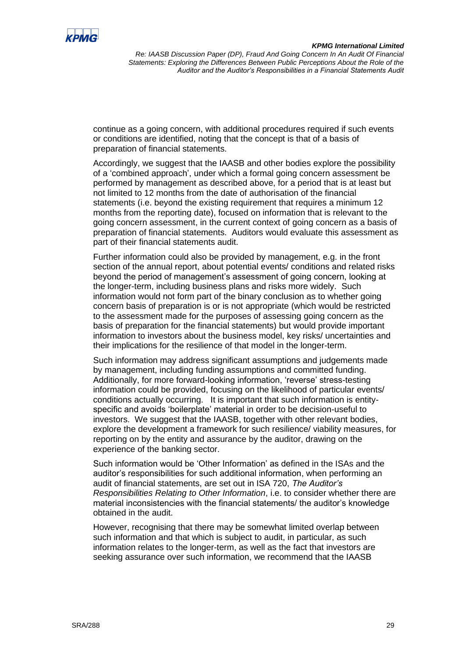![](_page_28_Picture_0.jpeg)

continue as a going concern, with additional procedures required if such events or conditions are identified, noting that the concept is that of a basis of preparation of financial statements.

Accordingly, we suggest that the IAASB and other bodies explore the possibility of a 'combined approach', under which a formal going concern assessment be performed by management as described above, for a period that is at least but not limited to 12 months from the date of authorisation of the financial statements (i.e. beyond the existing requirement that requires a minimum 12 months from the reporting date), focused on information that is relevant to the going concern assessment, in the current context of going concern as a basis of preparation of financial statements. Auditors would evaluate this assessment as part of their financial statements audit.

Further information could also be provided by management, e.g. in the front section of the annual report, about potential events/ conditions and related risks beyond the period of management's assessment of going concern, looking at the longer-term, including business plans and risks more widely. Such information would not form part of the binary conclusion as to whether going concern basis of preparation is or is not appropriate (which would be restricted to the assessment made for the purposes of assessing going concern as the basis of preparation for the financial statements) but would provide important information to investors about the business model, key risks/ uncertainties and their implications for the resilience of that model in the longer-term.

Such information may address significant assumptions and judgements made by management, including funding assumptions and committed funding. Additionally, for more forward-looking information, 'reverse' stress-testing information could be provided, focusing on the likelihood of particular events/ conditions actually occurring. It is important that such information is entityspecific and avoids 'boilerplate' material in order to be decision-useful to investors. We suggest that the IAASB, together with other relevant bodies, explore the development a framework for such resilience/ viability measures, for reporting on by the entity and assurance by the auditor, drawing on the experience of the banking sector.

Such information would be 'Other Information' as defined in the ISAs and the auditor's responsibilities for such additional information, when performing an audit of financial statements, are set out in ISA 720, *The Auditor's Responsibilities Relating to Other Information*, i.e. to consider whether there are material inconsistencies with the financial statements/ the auditor's knowledge obtained in the audit.

However, recognising that there may be somewhat limited overlap between such information and that which is subject to audit, in particular, as such information relates to the longer-term, as well as the fact that investors are seeking assurance over such information, we recommend that the IAASB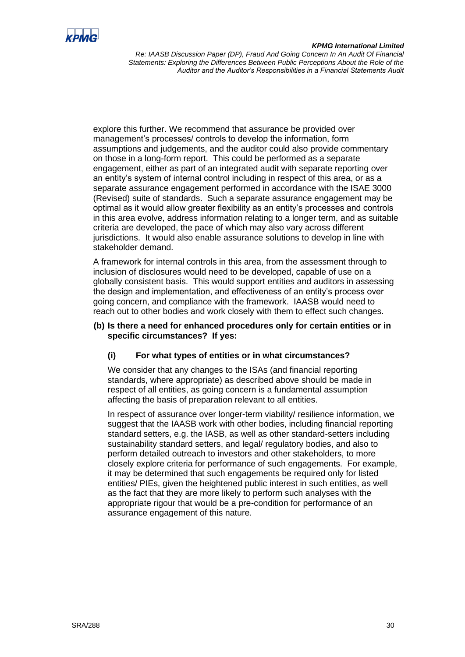![](_page_29_Picture_0.jpeg)

#### *KPMG International Limited*

*Re: IAASB Discussion Paper (DP), Fraud And Going Concern In An Audit Of Financial Statements: Exploring the Differences Between Public Perceptions About the Role of the Auditor and the Auditor's Responsibilities in a Financial Statements Audit*

explore this further. We recommend that assurance be provided over management's processes/ controls to develop the information, form assumptions and judgements, and the auditor could also provide commentary on those in a long-form report. This could be performed as a separate engagement, either as part of an integrated audit with separate reporting over an entity's system of internal control including in respect of this area, or as a separate assurance engagement performed in accordance with the ISAE 3000 (Revised) suite of standards. Such a separate assurance engagement may be optimal as it would allow greater flexibility as an entity's processes and controls in this area evolve, address information relating to a longer term, and as suitable criteria are developed, the pace of which may also vary across different jurisdictions. It would also enable assurance solutions to develop in line with stakeholder demand.

A framework for internal controls in this area, from the assessment through to inclusion of disclosures would need to be developed, capable of use on a globally consistent basis. This would support entities and auditors in assessing the design and implementation, and effectiveness of an entity's process over going concern, and compliance with the framework. IAASB would need to reach out to other bodies and work closely with them to effect such changes.

#### **(b) Is there a need for enhanced procedures only for certain entities or in specific circumstances? If yes:**

# **(i) For what types of entities or in what circumstances?**

We consider that any changes to the ISAs (and financial reporting standards, where appropriate) as described above should be made in respect of all entities, as going concern is a fundamental assumption affecting the basis of preparation relevant to all entities.

In respect of assurance over longer-term viability/ resilience information, we suggest that the IAASB work with other bodies, including financial reporting standard setters, e.g. the IASB, as well as other standard-setters including sustainability standard setters, and legal/ regulatory bodies, and also to perform detailed outreach to investors and other stakeholders, to more closely explore criteria for performance of such engagements. For example, it may be determined that such engagements be required only for listed entities/ PIEs, given the heightened public interest in such entities, as well as the fact that they are more likely to perform such analyses with the appropriate rigour that would be a pre-condition for performance of an assurance engagement of this nature.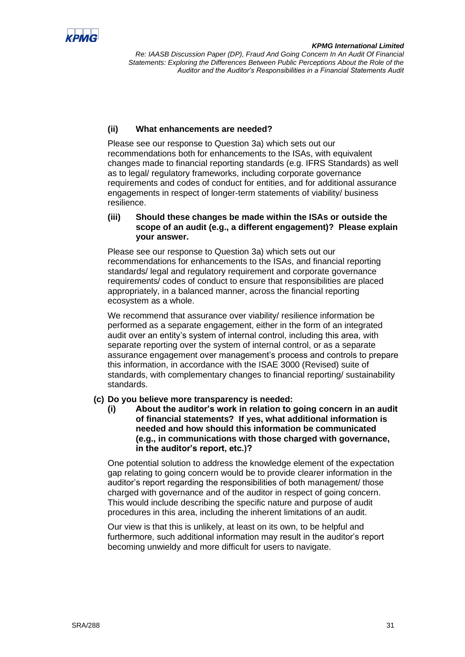![](_page_30_Picture_0.jpeg)

# **(ii) What enhancements are needed?**

Please see our response to Question 3a) which sets out our recommendations both for enhancements to the ISAs, with equivalent changes made to financial reporting standards (e.g. IFRS Standards) as well as to legal/ regulatory frameworks, including corporate governance requirements and codes of conduct for entities, and for additional assurance engagements in respect of longer-term statements of viability/ business resilience.

# **(iii) Should these changes be made within the ISAs or outside the scope of an audit (e.g., a different engagement)? Please explain your answer.**

Please see our response to Question 3a) which sets out our recommendations for enhancements to the ISAs, and financial reporting standards/ legal and regulatory requirement and corporate governance requirements/ codes of conduct to ensure that responsibilities are placed appropriately, in a balanced manner, across the financial reporting ecosystem as a whole.

We recommend that assurance over viability/ resilience information be performed as a separate engagement, either in the form of an integrated audit over an entity's system of internal control, including this area, with separate reporting over the system of internal control, or as a separate assurance engagement over management's process and controls to prepare this information, in accordance with the ISAE 3000 (Revised) suite of standards, with complementary changes to financial reporting/ sustainability standards.

# **(c) Do you believe more transparency is needed:**

**(i) About the auditor's work in relation to going concern in an audit of financial statements? If yes, what additional information is needed and how should this information be communicated (e.g., in communications with those charged with governance, in the auditor's report, etc.)?**

One potential solution to address the knowledge element of the expectation gap relating to going concern would be to provide clearer information in the auditor's report regarding the responsibilities of both management/ those charged with governance and of the auditor in respect of going concern. This would include describing the specific nature and purpose of audit procedures in this area, including the inherent limitations of an audit.

Our view is that this is unlikely, at least on its own, to be helpful and furthermore, such additional information may result in the auditor's report becoming unwieldy and more difficult for users to navigate.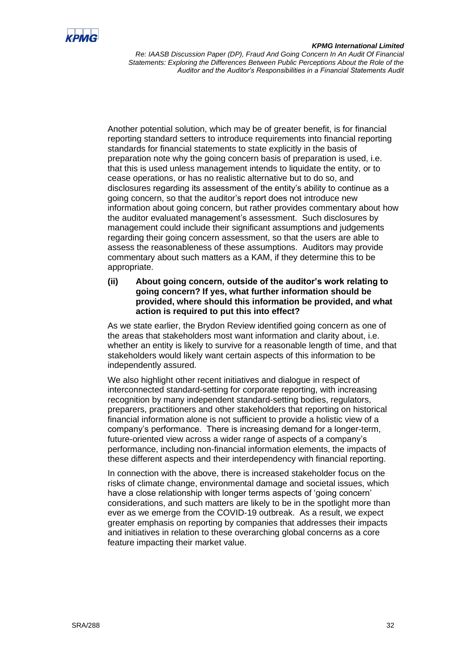![](_page_31_Picture_0.jpeg)

#### *KPMG International Limited*

*Re: IAASB Discussion Paper (DP), Fraud And Going Concern In An Audit Of Financial Statements: Exploring the Differences Between Public Perceptions About the Role of the Auditor and the Auditor's Responsibilities in a Financial Statements Audit*

Another potential solution, which may be of greater benefit, is for financial reporting standard setters to introduce requirements into financial reporting standards for financial statements to state explicitly in the basis of preparation note why the going concern basis of preparation is used, i.e. that this is used unless management intends to liquidate the entity, or to cease operations, or has no realistic alternative but to do so, and disclosures regarding its assessment of the entity's ability to continue as a going concern, so that the auditor's report does not introduce new information about going concern, but rather provides commentary about how the auditor evaluated management's assessment. Such disclosures by management could include their significant assumptions and judgements regarding their going concern assessment, so that the users are able to assess the reasonableness of these assumptions. Auditors may provide commentary about such matters as a KAM, if they determine this to be appropriate.

**(ii) About going concern, outside of the auditor's work relating to going concern? If yes, what further information should be provided, where should this information be provided, and what action is required to put this into effect?**

As we state earlier, the Brydon Review identified going concern as one of the areas that stakeholders most want information and clarity about, i.e. whether an entity is likely to survive for a reasonable length of time, and that stakeholders would likely want certain aspects of this information to be independently assured.

We also highlight other recent initiatives and dialogue in respect of interconnected standard-setting for corporate reporting, with increasing recognition by many independent standard-setting bodies, regulators, preparers, practitioners and other stakeholders that reporting on historical financial information alone is not sufficient to provide a holistic view of a company's performance. There is increasing demand for a longer-term, future-oriented view across a wider range of aspects of a company's performance, including non-financial information elements, the impacts of these different aspects and their interdependency with financial reporting.

In connection with the above, there is increased stakeholder focus on the risks of climate change, environmental damage and societal issues, which have a close relationship with longer terms aspects of 'going concern' considerations, and such matters are likely to be in the spotlight more than ever as we emerge from the COVID-19 outbreak. As a result, we expect greater emphasis on reporting by companies that addresses their impacts and initiatives in relation to these overarching global concerns as a core feature impacting their market value.